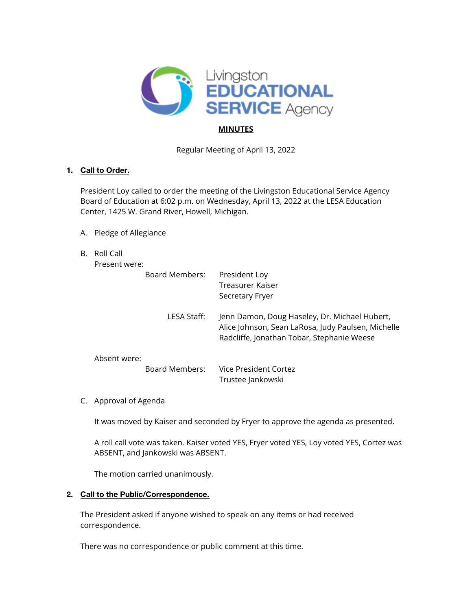

# **MINUTES**

Regular Meeting of April 13, 2022

### **1. Call to Order.**

President Loy called to order the meeting of the Livingston Educational Service Agency Board of Education at 6:02 p.m. on Wednesday, April 13, 2022 at the LESA Education Center, 1425 W. Grand River, Howell, Michigan.

- A. Pledge of Allegiance
- B. Roll Call

| Present were: |
|---------------|
|---------------|

|              | Board Members: | President Loy<br>Treasurer Kaiser<br>Secretary Fryer                                                                                              |
|--------------|----------------|---------------------------------------------------------------------------------------------------------------------------------------------------|
|              | LESA Staff:    | Jenn Damon, Doug Haseley, Dr. Michael Hubert,<br>Alice Johnson, Sean LaRosa, Judy Paulsen, Michelle<br>Radcliffe, Jonathan Tobar, Stephanie Weese |
| Absent were: |                |                                                                                                                                                   |
|              | Board Members: | Vice President Cortez<br>Trustee Jankowski                                                                                                        |

C. Approval of Agenda

It was moved by Kaiser and seconded by Fryer to approve the agenda as presented.

A roll call vote was taken. Kaiser voted YES, Fryer voted YES, Loy voted YES, Cortez was ABSENT, and Jankowski was ABSENT.

The motion carried unanimously.

# **2. Call to the Public/Correspondence.**

The President asked if anyone wished to speak on any items or had received correspondence.

There was no correspondence or public comment at this time.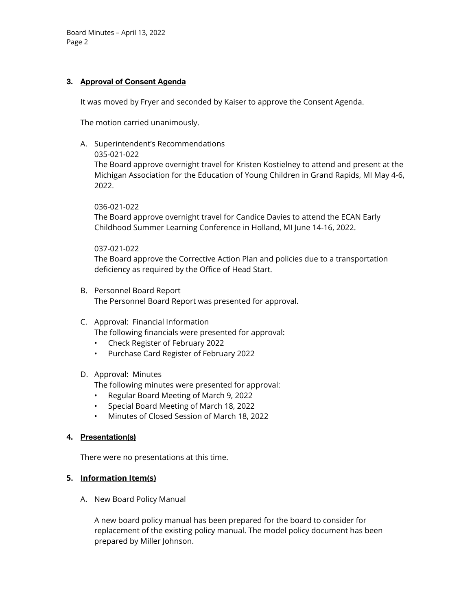### **3. Approval of Consent Agenda**

It was moved by Fryer and seconded by Kaiser to approve the Consent Agenda.

The motion carried unanimously.

A. Superintendent's Recommendations

035-021-022

The Board approve overnight travel for Kristen Kostielney to attend and present at the Michigan Association for the Education of Young Children in Grand Rapids, MI May 4-6, 2022.

036-021-022

The Board approve overnight travel for Candice Davies to attend the ECAN Early Childhood Summer Learning Conference in Holland, MI June 14-16, 2022.

#### 037-021-022

The Board approve the Corrective Action Plan and policies due to a transportation deficiency as required by the Office of Head Start.

- B. Personnel Board Report The Personnel Board Report was presented for approval.
- C. Approval: Financial Information

The following financials were presented for approval:

- Check Register of February 2022
- Purchase Card Register of February 2022

### D. Approval: Minutes

The following minutes were presented for approval:

- Regular Board Meeting of March 9, 2022
- Special Board Meeting of March 18, 2022
- Minutes of Closed Session of March 18, 2022

### **4. Presentation(s)**

There were no presentations at this time.

### **5. Information Item(s)**

A. New Board Policy Manual

A new board policy manual has been prepared for the board to consider for replacement of the existing policy manual. The model policy document has been prepared by Miller Johnson.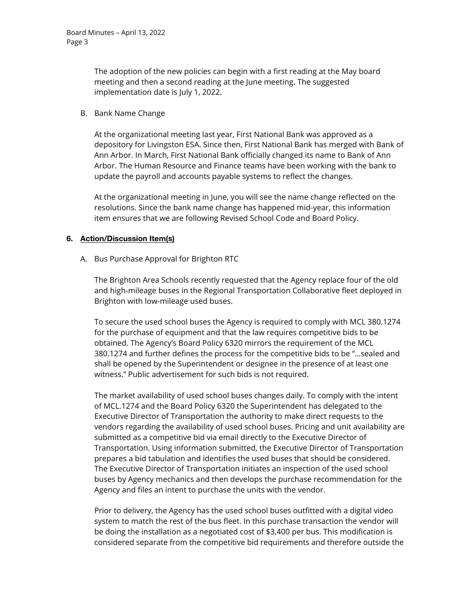The adoption of the new policies can begin with a first reading at the May board meeting and then a second reading at the June meeting. The suggested implementation date is July 1, 2022.

#### B. Bank Name Change

At the organizational meeting last year, First National Bank was approved as a depository for Livingston ESA. Since then, First National Bank has merged with Bank of Ann Arbor. In March, First National Bank officially changed its name to Bank of Ann Arbor. The Human Resource and Finance teams have been working with the bank to update the payroll and accounts payable systems to reflect the changes.

At the organizational meeting in June, you will see the name change reflected on the resolutions. Since the bank name change has happened mid-year, this information item ensures that we are following Revised School Code and Board Policy.

### **6. Action/Discussion Item(s)**

A. Bus Purchase Approval for Brighton RTC

The Brighton Area Schools recently requested that the Agency replace four of the old and high-mileage buses in the Regional Transportation Collaborative fleet deployed in Brighton with low-mileage used buses.

To secure the used school buses the Agency is required to comply with MCL 380.1274 for the purchase of equipment and that the law requires competitive bids to be obtained. The Agency's Board Policy 6320 mirrors the requirement of the MCL 380.1274 and further defines the process for the competitive bids to be "…sealed and shall be opened by the Superintendent or designee in the presence of at least one witness." Public advertisement for such bids is not required.

The market availability of used school buses changes daily. To comply with the intent of MCL.1274 and the Board Policy 6320 the Superintendent has delegated to the Executive Director of Transportation the authority to make direct requests to the vendors regarding the availability of used school buses. Pricing and unit availability are submitted as a competitive bid via email directly to the Executive Director of Transportation. Using information submitted, the Executive Director of Transportation prepares a bid tabulation and identifies the used buses that should be considered. The Executive Director of Transportation initiates an inspection of the used school buses by Agency mechanics and then develops the purchase recommendation for the Agency and files an intent to purchase the units with the vendor.

Prior to delivery, the Agency has the used school buses outfitted with a digital video system to match the rest of the bus fleet. In this purchase transaction the vendor will be doing the installation as a negotiated cost of \$3,400 per bus. This modification is considered separate from the competitive bid requirements and therefore outside the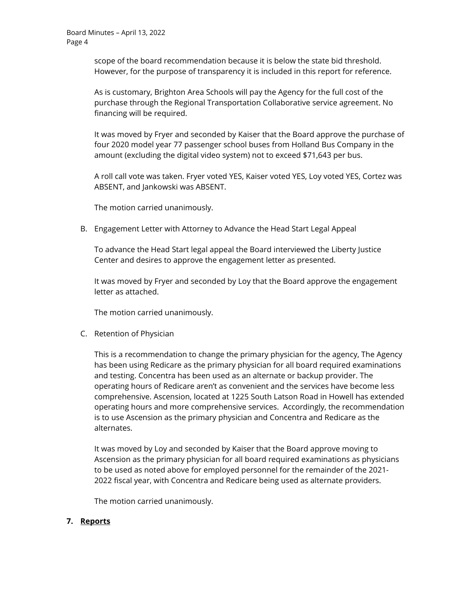scope of the board recommendation because it is below the state bid threshold. However, for the purpose of transparency it is included in this report for reference.

As is customary, Brighton Area Schools will pay the Agency for the full cost of the purchase through the Regional Transportation Collaborative service agreement. No financing will be required.

It was moved by Fryer and seconded by Kaiser that the Board approve the purchase of four 2020 model year 77 passenger school buses from Holland Bus Company in the amount (excluding the digital video system) not to exceed \$71,643 per bus.

A roll call vote was taken. Fryer voted YES, Kaiser voted YES, Loy voted YES, Cortez was ABSENT, and Jankowski was ABSENT.

The motion carried unanimously.

B. Engagement Letter with Attorney to Advance the Head Start Legal Appeal

To advance the Head Start legal appeal the Board interviewed the Liberty Justice Center and desires to approve the engagement letter as presented.

It was moved by Fryer and seconded by Loy that the Board approve the engagement letter as attached.

The motion carried unanimously.

C. Retention of Physician

This is a recommendation to change the primary physician for the agency, The Agency has been using Redicare as the primary physician for all board required examinations and testing. Concentra has been used as an alternate or backup provider. The operating hours of Redicare aren't as convenient and the services have become less comprehensive. Ascension, located at 1225 South Latson Road in Howell has extended operating hours and more comprehensive services. Accordingly, the recommendation is to use Ascension as the primary physician and Concentra and Redicare as the alternates.

It was moved by Loy and seconded by Kaiser that the Board approve moving to Ascension as the primary physician for all board required examinations as physicians to be used as noted above for employed personnel for the remainder of the 2021- 2022 fiscal year, with Concentra and Redicare being used as alternate providers.

The motion carried unanimously.

### **7. Reports**